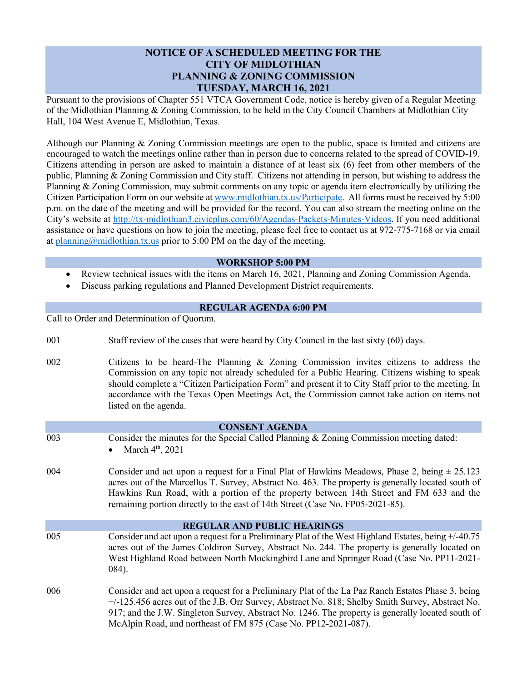## **NOTICE OF A SCHEDULED MEETING FOR THE CITY OF MIDLOTHIAN PLANNING & ZONING COMMISSION TUESDAY, MARCH 16, 2021**

Pursuant to the provisions of Chapter 551 VTCA Government Code, notice is hereby given of a Regular Meeting of the Midlothian Planning & Zoning Commission, to be held in the City Council Chambers at Midlothian City Hall, 104 West Avenue E, Midlothian, Texas.

Although our Planning & Zoning Commission meetings are open to the public, space is limited and citizens are encouraged to watch the meetings online rather than in person due to concerns related to the spread of COVID-19. Citizens attending in person are asked to maintain a distance of at least six (6) feet from other members of the public, Planning & Zoning Commission and City staff. Citizens not attending in person, but wishing to address the Planning & Zoning Commission, may submit comments on any topic or agenda item electronically by utilizing the Citizen Participation Form on our website a[t www.midlothian.tx.us/Participate.](http://www.midlothian.tx.us/Participate) All forms must be received by 5:00 p.m. on the date of the meeting and will be provided for the record. You can also stream the meeting online on the City's website at [http://tx-midlothian3.civicplus.com/60/Agendas-Packets-Minutes-Videos.](http://tx-midlothian3.civicplus.com/60/Agendas-Packets-Minutes-Videos) If you need additional assistance or have questions on how to join the meeting, please feel free to contact us at 972-775-7168 or via email at [planning@midlothian.tx.us](mailto:planning@midlothian.tx.us) prior to 5:00 PM on the day of the meeting.

## **WORKSHOP 5:00 PM**

- Review technical issues with the items on March 16, 2021, Planning and Zoning Commission Agenda.
- Discuss parking regulations and Planned Development District requirements.

## **REGULAR AGENDA 6:00 PM**

Call to Order and Determination of Quorum.

- 001 Staff review of the cases that were heard by City Council in the last sixty (60) days.
- 002 Citizens to be heard-The Planning & Zoning Commission invites citizens to address the Commission on any topic not already scheduled for a Public Hearing. Citizens wishing to speak should complete a "Citizen Participation Form" and present it to City Staff prior to the meeting. In accordance with the Texas Open Meetings Act, the Commission cannot take action on items not listed on the agenda.

|                 | <b>CONSENT AGENDA</b>                                                                                                                                                                                                                                                                                                                                                               |
|-----------------|-------------------------------------------------------------------------------------------------------------------------------------------------------------------------------------------------------------------------------------------------------------------------------------------------------------------------------------------------------------------------------------|
| 003             | Consider the minutes for the Special Called Planning & Zoning Commission meeting dated:<br>March 4 <sup>th</sup> , 2021<br>$\bullet$                                                                                                                                                                                                                                                |
| 004             | Consider and act upon a request for a Final Plat of Hawkins Meadows, Phase 2, being $\pm 25.123$<br>acres out of the Marcellus T. Survey, Abstract No. 463. The property is generally located south of<br>Hawkins Run Road, with a portion of the property between 14th Street and FM 633 and the<br>remaining portion directly to the east of 14th Street (Case No. FP05-2021-85). |
|                 | <b>REGULAR AND PUBLIC HEARINGS</b>                                                                                                                                                                                                                                                                                                                                                  |
| 005             | Consider and act upon a request for a Preliminary Plat of the West Highland Estates, being $+/-40.75$<br>acres out of the James Coldiron Survey, Abstract No. 244. The property is generally located on<br>West Highland Road between North Mockingbird Lane and Springer Road (Case No. PP11-2021-<br>$084$ ).                                                                     |
| 00 <sup>2</sup> | nical the index                                                                                                                                                                                                                                                                                                                                                                     |

006 Consider and act upon a request for a Preliminary Plat of the La Paz Ranch Estates Phase 3, being +/-125.456 acres out of the J.B. Orr Survey, Abstract No. 818; Shelby Smith Survey, Abstract No. 917; and the J.W. Singleton Survey, Abstract No. 1246. The property is generally located south of McAlpin Road, and northeast of FM 875 (Case No. PP12-2021-087).